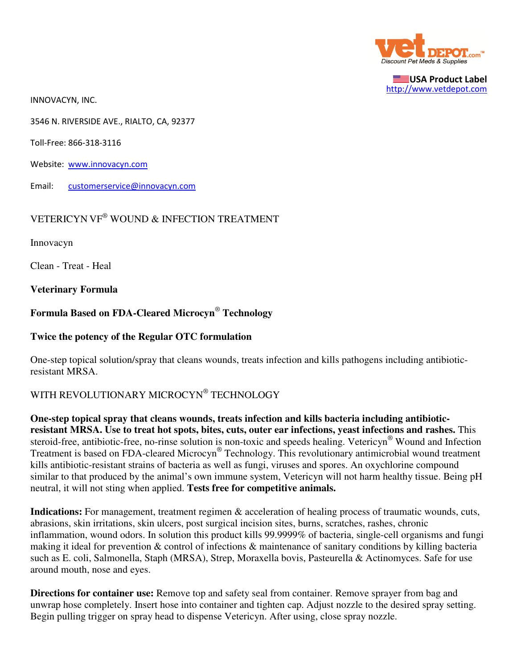

USA Product Label http://www.vetdepot.com

INNOVACYN, INC.

3546 N. RIVERSIDE AVE., RIALTO, CA, 92377

Toll-Free: 866-318-3116

Website: www.innovacyn.com

Email: customerservice@innovacyn.com

## VETERICYN VF® WOUND & INFECTION TREATMENT

Innovacyn

Clean - Treat - Heal

**Veterinary Formula**

# **Formula Based on FDA-Cleared Microcyn**®  **Technology**

### **Twice the potency of the Regular OTC formulation**

One-step topical solution/spray that cleans wounds, treats infection and kills pathogens including antibioticresistant MRSA.

## WITH REVOLUTIONARY MICROCYN® TECHNOLOGY

**One-step topical spray that cleans wounds, treats infection and kills bacteria including antibioticresistant MRSA. Use to treat hot spots, bites, cuts, outer ear infections, yeast infections and rashes.** This steroid-free, antibiotic-free, no-rinse solution is non-toxic and speeds healing. Vetericyn® Wound and Infection Treatment is based on FDA-cleared Microcyn® Technology. This revolutionary antimicrobial wound treatment kills antibiotic-resistant strains of bacteria as well as fungi, viruses and spores. An oxychlorine compound similar to that produced by the animal's own immune system, Vetericyn will not harm healthy tissue. Being pH neutral, it will not sting when applied. **Tests free for competitive animals.**

**Indications:** For management, treatment regimen & acceleration of healing process of traumatic wounds, cuts, abrasions, skin irritations, skin ulcers, post surgical incision sites, burns, scratches, rashes, chronic inflammation, wound odors. In solution this product kills 99.9999% of bacteria, single-cell organisms and fungi making it ideal for prevention & control of infections & maintenance of sanitary conditions by killing bacteria such as E. coli, Salmonella, Staph (MRSA), Strep, Moraxella bovis, Pasteurella & Actinomyces. Safe for use around mouth, nose and eyes.

**Directions for container use:** Remove top and safety seal from container. Remove sprayer from bag and unwrap hose completely. Insert hose into container and tighten cap. Adjust nozzle to the desired spray setting. Begin pulling trigger on spray head to dispense Vetericyn. After using, close spray nozzle.